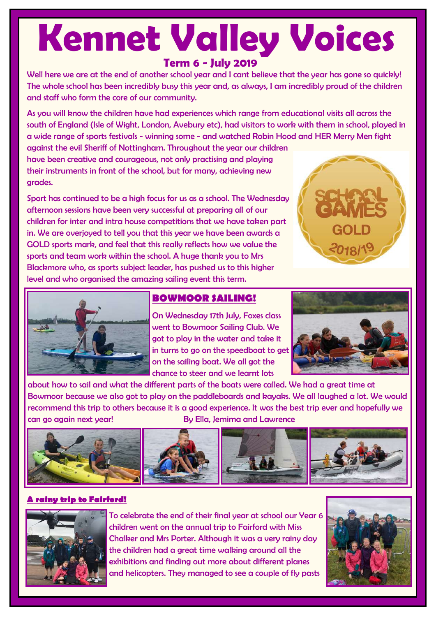# **Kennet Valley Voices**

# **Term 6 - July 2019**

Well here we are at the end of another school year and I cant believe that the year has gone so quickly! The whole school has been incredibly busy this year and, as always, I am incredibly proud of the children and staff who form the core of our community.

As you will know the children have had experiences which range from educational visits all across the south of England (Isle of Wight, London, Avebury etc), had visitors to work with them in school, played in a wide range of sports festivals - winning some - and watched Robin Hood and HER Merry Men fight

against the evil Sheriff of Nottingham. Throughout the year our children have been creative and courageous, not only practising and playing their instruments in front of the school, but for many, achieving new grades.

Sport has continued to be a high focus for us as a school. The Wednesday afternoon sessions have been very successful at preparing all of our children for inter and intra house competitions that we have taken part in. We are overjoyed to tell you that this year we have been awards a GOLD sports mark, and feel that this really reflects how we value the sports and team work within the school. A huge thank you to Mrs Blackmore who, as sports subject leader, has pushed us to this higher level and who organised the amazing sailing event this term.





# **BOWMOOR SAILING!**

On Wednesday 17th July, Foxes class went to Bowmoor Sailing Club. We got to play in the water and take it in turns to go on the speedboat to get on the sailing boat. We all got the chance to steer and we learnt lots



about how to sail and what the different parts of the boats were called. We had a great time at Bowmoor because we also got to play on the paddleboards and kayaks. We all laughed a lot. We would recommend this trip to others because it is a good experience. It was the best trip ever and hopefully we can go again next year! By Ella, Jemima and Lawrence



## **A rainy trip to Fairford!**



To celebrate the end of their final year at school our Year 6 children went on the annual trip to Fairford with Miss Chalker and Mrs Porter. Although it was a very rainy day the children had a great time walking around all the exhibitions and finding out more about different planes and helicopters. They managed to see a couple of fly pasts

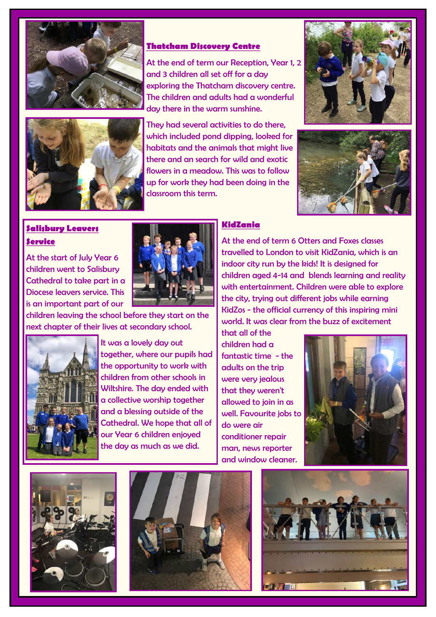



#### **Thatcham Discovery Centre**

At the end of term our Reception, Year 1, 2 and 3 children all set off for a day exploring the Thatcham discovery centre. The children and adults had a wonderful day there in the warm sunshine.

They had several activities to do there, which included pond dipping, looked for habitats and the animals that might live there and an search for wild and exotic flowers in a meadow. This was to follow up for work they had been doing in the classroom this term.





# **Salisbury Leavers Service**

At the start of July Year 6 children went to Salisbury Cathedral to take part in a Diocese leavers service. This is an important part of our



children leaving the school before they start on the next chapter of their lives at secondary school.



It was a lovely day out together, where our pupils had the opportunity to work with children from other schools in Wiltshire. The day ended with a collective worship together and a blessing outside of the Cathedral. We hope that all of our Year 6 children enjoyed the day as much as we did.

#### **KidZania**

At the end of term 6 Otters and Foxes classes travelled to London to visit KidZania, which is an indoor city run by the kids! It is designed for children aged 4-14 and blends learning and reality with entertainment. Children were able to explore the city, trying out different jobs while earning KidZos - the official currency of this inspiring mini world. It was clear from the buzz of excitement

that all of the children had a fantastic time - the adults on the trip were very jealous that they weren't allowed to join in as well. Favourite jobs to do were air conditioner repair man, news reporter and window cleaner.







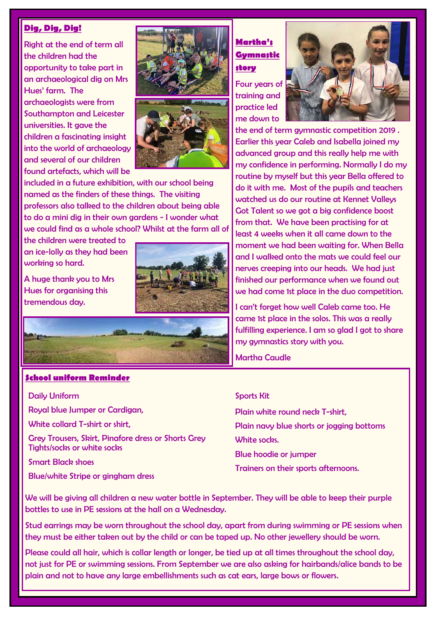#### **Dig, Dig, Dig!**

Right at the end of term all the children had the opportunity to take part in an archaeological dig on Mrs Hues' farm. The archaeologists were from Southampton and Leicester universities. It gave the children a fascinating insight into the world of archaeology and several of our children found artefacts, which will be





included in a future exhibition, with our school being named as the finders of these things. The visiting professors also talked to the children about being able to do a mini dig in their own gardens - I wonder what we could find as a whole school? Whilst at the farm all of

the children were treated to an ice-lolly as they had been working so hard.

A huge thank you to Mrs Hues for organising this tremendous day.





#### **School uniform Reminder**

#### Daily Uniform

Royal blue Jumper or Cardigan,

White collard T-shirt or shirt.

Grey Trousers, Skirt, Pinafore dress or Shorts Grey Tights/socks or white socks

Smart Black shoes

Blue/white Stripe or gingham dress

# **Martha's Gymnastic story**

Four years of training and practice led me down to



the end of term gymnastic competition 2019 . Earlier this year Caleb and Isabella joined my advanced group and this really help me with my confidence in performing. Normally I do my routine by myself but this year Bella offered to do it with me. Most of the pupils and teachers watched us do our routine at Kennet Valleys Got Talent so we got a big confidence boost from that. We have been practising for at least 4 weeks when it all came down to the moment we had been waiting for. When Bella and I walked onto the mats we could feel our nerves creeping into our heads. We had just finished our performance when we found out we had come 1st place in the duo competition.

I can't forget how well Caleb came too. He came 1st place in the solos. This was a really fulfilling experience. I am so glad I got to share my gymnastics story with you.

Martha Caudle

#### Sports Kit

Plain white round neck T-shirt, Plain navy blue shorts or jogging bottoms White socks. Blue hoodie or jumper

Trainers on their sports afternoons.

We will be giving all children a new water bottle in September. They will be able to keep their purple bottles to use in PE sessions at the hall on a Wednesday.

Stud earrings may be worn throughout the school day, apart from during swimming or PE sessions when they must be either taken out by the child or can be taped up. No other jewellery should be worn.

Please could all hair, which is collar length or longer, be tied up at all times throughout the school day, not just for PE or swimming sessions. From September we are also asking for hairbands/alice bands to be plain and not to have any large embellishments such as cat ears, large bows or flowers.